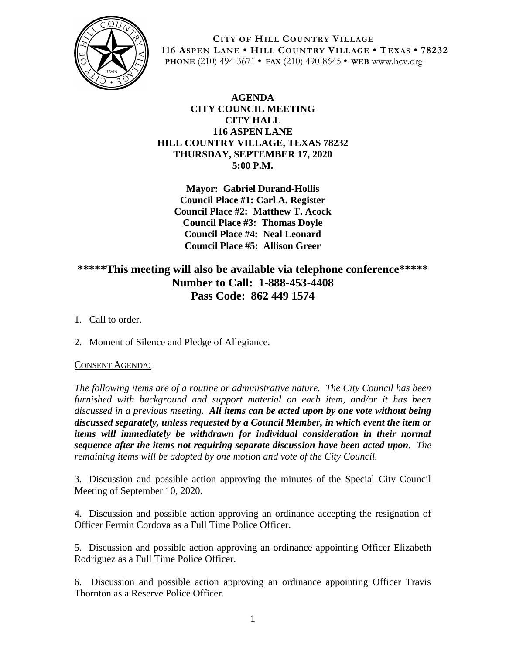

**CITY OF HILL COUNTRY VILLAGE 116 ASPEN LANE • HILL COUNTRY VILLAGE • TEXAS • 78232 PHONE** (210) 494-3671 **• FAX** (210) 490-8645 **• WEB** www.hcv.org

### **AGENDA CITY COUNCIL MEETING CITY HALL 116 ASPEN LANE HILL COUNTRY VILLAGE, TEXAS 78232 THURSDAY, SEPTEMBER 17, 2020 5:00 P.M.**

**Mayor: Gabriel Durand-Hollis Council Place #1: Carl A. Register Council Place #2: Matthew T. Acock Council Place #3: Thomas Doyle Council Place #4: Neal Leonard Council Place #5: Allison Greer**

# **\*\*\*\*\*This meeting will also be available via telephone conference\*\*\*\*\* Number to Call: 1-888-453-4408 Pass Code: 862 449 1574**

- 1. Call to order.
- 2. Moment of Silence and Pledge of Allegiance.

#### CONSENT AGENDA:

*The following items are of a routine or administrative nature. The City Council has been furnished with background and support material on each item, and/or it has been discussed in a previous meeting. All items can be acted upon by one vote without being discussed separately, unless requested by a Council Member, in which event the item or items will immediately be withdrawn for individual consideration in their normal sequence after the items not requiring separate discussion have been acted upon. The remaining items will be adopted by one motion and vote of the City Council.*

3. Discussion and possible action approving the minutes of the Special City Council Meeting of September 10, 2020.

4. Discussion and possible action approving an ordinance accepting the resignation of Officer Fermin Cordova as a Full Time Police Officer.

5. Discussion and possible action approving an ordinance appointing Officer Elizabeth Rodriguez as a Full Time Police Officer.

6. Discussion and possible action approving an ordinance appointing Officer Travis Thornton as a Reserve Police Officer.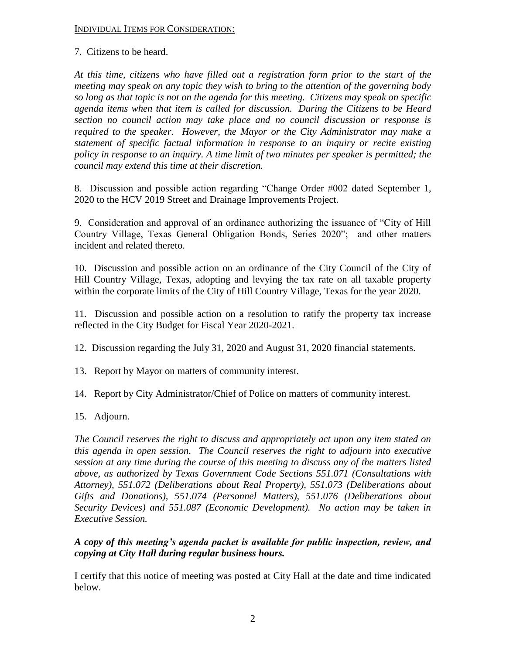#### INDIVIDUAL ITEMS FOR CONSIDERATION:

7. Citizens to be heard.

*At this time, citizens who have filled out a registration form prior to the start of the meeting may speak on any topic they wish to bring to the attention of the governing body so long as that topic is not on the agenda for this meeting. Citizens may speak on specific agenda items when that item is called for discussion. During the Citizens to be Heard section no council action may take place and no council discussion or response is required to the speaker. However, the Mayor or the City Administrator may make a statement of specific factual information in response to an inquiry or recite existing policy in response to an inquiry. A time limit of two minutes per speaker is permitted; the council may extend this time at their discretion.*

8. Discussion and possible action regarding "Change Order #002 dated September 1, 2020 to the HCV 2019 Street and Drainage Improvements Project.

9. Consideration and approval of an ordinance authorizing the issuance of "City of Hill Country Village, Texas General Obligation Bonds, Series 2020"; and other matters incident and related thereto.

10. Discussion and possible action on an ordinance of the City Council of the City of Hill Country Village, Texas, adopting and levying the tax rate on all taxable property within the corporate limits of the City of Hill Country Village, Texas for the year 2020.

11. Discussion and possible action on a resolution to ratify the property tax increase reflected in the City Budget for Fiscal Year 2020-2021.

12. Discussion regarding the July 31, 2020 and August 31, 2020 financial statements.

- 13. Report by Mayor on matters of community interest.
- 14. Report by City Administrator/Chief of Police on matters of community interest.
- 15. Adjourn.

*The Council reserves the right to discuss and appropriately act upon any item stated on this agenda in open session. The Council reserves the right to adjourn into executive session at any time during the course of this meeting to discuss any of the matters listed above, as authorized by Texas Government Code Sections 551.071 (Consultations with Attorney), 551.072 (Deliberations about Real Property), 551.073 (Deliberations about Gifts and Donations), 551.074 (Personnel Matters), 551.076 (Deliberations about Security Devices) and 551.087 (Economic Development). No action may be taken in Executive Session.*

## *A copy of this meeting's agenda packet is available for public inspection, review, and copying at City Hall during regular business hours.*

I certify that this notice of meeting was posted at City Hall at the date and time indicated below.